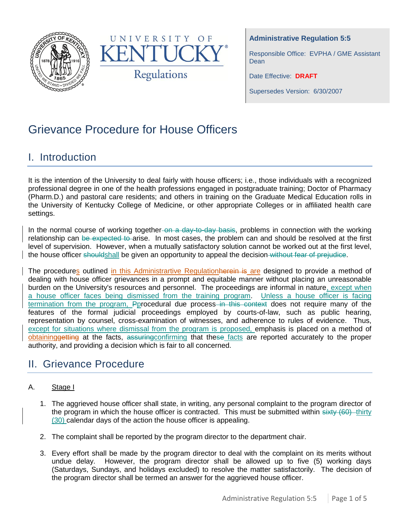



**Administrative Regulation 5:5**

Responsible Office: EVPHA / GME Assistant **Dean** 

Date Effective: **DRAFT**

Supersedes Version: 6/30/2007

# Grievance Procedure for House Officers

## I. Introduction

It is the intention of the University to deal fairly with house officers; i.e., those individuals with a recognized professional degree in one of the health professions engaged in postgraduate training; Doctor of Pharmacy (Pharm.D.) and pastoral care residents; and others in training on the Graduate Medical Education rolls in the University of Kentucky College of Medicine, or other appropriate Colleges or in affiliated health care settings.

In the normal course of working together-on a day-to-day basis, problems in connection with the working relationship can be expected to arise. In most cases, the problem can and should be resolved at the first level of supervision. However, when a mutually satisfactory solution cannot be worked out at the first level, the house officer shouldshall be given an opportunity to appeal the decision without fear of prejudice.

The procedures outlined in this Administrartive Regulationherein is are designed to provide a method of dealing with house officer grievances in a prompt and equitable manner without placing an unreasonable burden on the University's resources and personnel. The proceedings are informal in nature, except when a house officer faces being dismissed from the training program. Unless a house officer is facing termination from the program, Pprocedural due process in this context does not require many of the features of the formal judicial proceedings employed by courts-of-law, such as public hearing, representation by counsel, cross-examination of witnesses, and adherence to rules of evidence. Thus, except for situations where dismissal from the program is proposed, emphasis is placed on a method of obtaininggetting at the facts, assuring confirming that these facts are reported accurately to the proper authority, and providing a decision which is fair to all concerned.

# II. Grievance Procedure

### A. Stage I

- 1. The aggrieved house officer shall state, in writing, any personal complaint to the program director of the program in which the house officer is contracted. This must be submitted within  $sixty (60)$ -thirty (30) calendar days of the action the house officer is appealing.
- 2. The complaint shall be reported by the program director to the department chair.
- 3. Every effort shall be made by the program director to deal with the complaint on its merits without undue delay. However, the program director shall be allowed up to five (5) working days (Saturdays, Sundays, and holidays excluded) to resolve the matter satisfactorily. The decision of the program director shall be termed an answer for the aggrieved house officer.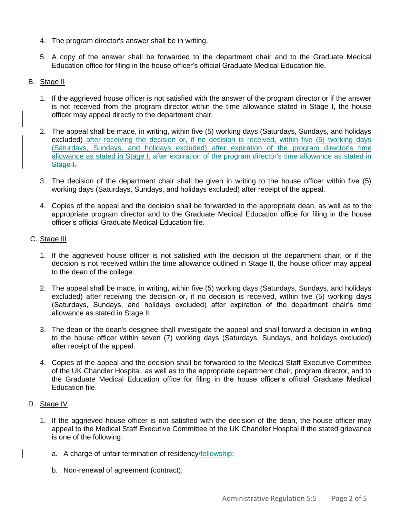- 4. The program director's answer shall be in writing.
- 5. A copy of the answer shall be forwarded to the department chair and to the Graduate Medical Education office for filing in the house officer's official Graduate Medical Education file.

#### B. Stage II

- 1. If the aggrieved house officer is not satisfied with the answer of the program director or if the answer is not received from the program director within the time allowance stated in Stage I, the house officer may appeal directly to the department chair.
- 2. The appeal shall be made, in writing, within five (5) working days (Saturdays, Sundays, and holidays excluded) after receiving the decision or, if no decision is received, within five (5) working days (Saturdays, Sundays, and holidays excluded) after expiration of the program director's time allowance as stated in Stage I. after expiration of the program director's time allowance as stated in Stage I.
- 3. The decision of the department chair shall be given in writing to the house officer within five (5) working days (Saturdays, Sundays, and holidays excluded) after receipt of the appeal.
- 4. Copies of the appeal and the decision shall be forwarded to the appropriate dean, as well as to the appropriate program director and to the Graduate Medical Education office for filing in the house officer's official Graduate Medical Education file.

#### C. Stage III

- 1. If the aggrieved house officer is not satisfied with the decision of the department chair, or if the decision is not received within the time allowance outlined in Stage II, the house officer may appeal to the dean of the college.
- 2. The appeal shall be made, in writing, within five (5) working days (Saturdays, Sundays, and holidays excluded) after receiving the decision or, if no decision is received, within five (5) working days (Saturdays, Sundays, and holidays excluded) after expiration of the department chair's time allowance as stated in Stage II.
- 3. The dean or the dean's designee shall investigate the appeal and shall forward a decision in writing to the house officer within seven (7) working days (Saturdays, Sundays, and holidays excluded) after receipt of the appeal.
- 4. Copies of the appeal and the decision shall be forwarded to the Medical Staff Executive Committee of the UK Chandler Hospital, as well as to the appropriate department chair, program director, and to the Graduate Medical Education office for filing in the house officer's official Graduate Medical Education file.

#### D. Stage IV

- 1. If the aggrieved house officer is not satisfied with the decision of the dean, the house officer may appeal to the Medical Staff Executive Committee of the UK Chandler Hospital if the stated grievance is one of the following:
	- a. A charge of unfair termination of residency/fellowship;
	- b. Non-renewal of agreement (contract);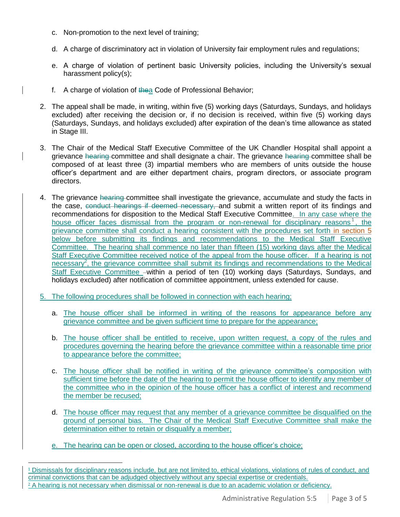- c. Non-promotion to the next level of training;
- d. A charge of discriminatory act in violation of University fair employment rules and regulations;
- e. A charge of violation of pertinent basic University policies, including the University's sexual harassment policy(s);
- f. A charge of violation of thea Code of Professional Behavior;
- 2. The appeal shall be made, in writing, within five (5) working days (Saturdays, Sundays, and holidays excluded) after receiving the decision or, if no decision is received, within five (5) working days (Saturdays, Sundays, and holidays excluded) after expiration of the dean's time allowance as stated in Stage III.
- 3. The Chair of the Medical Staff Executive Committee of the UK Chandler Hospital shall appoint a grievance hearing committee and shall designate a chair. The grievance hearing committee shall be composed of at least three (3) impartial members who are members of units outside the house officer's department and are either department chairs, program directors, or associate program directors.
- 4. The grievance hearing committee shall investigate the grievance, accumulate and study the facts in the case, conduct hearings if deemed necessary, and submit a written report of its findings and recommendations for disposition to the Medical Staff Executive Committee. In any case where the house officer faces dismissal from the program or non-renewal for disciplinary reasons<sup>1</sup>, the grievance committee shall conduct a hearing consistent with the procedures set forth in section 5 below before submitting its findings and recommendations to the Medical Staff Executive Committee. The hearing shall commence no later than fifteen (15) working days after the Medical Staff Executive Committee received notice of the appeal from the house officer. If a hearing is not necessary<sup>2</sup>, the grievance committee shall submit its findings and recommendations to the Medical Staff Executive Committee –within a period of ten (10) working days (Saturdays, Sundays, and holidays excluded) after notification of committee appointment, unless extended for cause.
- 5. The following procedures shall be followed in connection with each hearing;
	- a. The house officer shall be informed in writing of the reasons for appearance before any grievance committee and be given sufficient time to prepare for the appearance;
	- b. The house officer shall be entitled to receive, upon written request, a copy of the rules and procedures governing the hearing before the grievance committee within a reasonable time prior to appearance before the committee;
	- c. The house officer shall be notified in writing of the grievance committee's composition with sufficient time before the date of the hearing to permit the house officer to identify any member of the committee who in the opinion of the house officer has a conflict of interest and recommend the member be recused;
	- d. The house officer may request that any member of a grievance committee be disqualified on the ground of personal bias. The Chair of the Medical Staff Executive Committee shall make the determination either to retain or disqualify a member;
	- e. The hearing can be open or closed, according to the house officer's choice;

l

<sup>1</sup> Dismissals for disciplinary reasons include, but are not limited to, ethical violations, violations of rules of conduct, and criminal convictions that can be adjudged objectively without any special expertise or credentials. <sup>2</sup> A hearing is not necessary when dismissal or non-renewal is due to an academic violation or deficiency.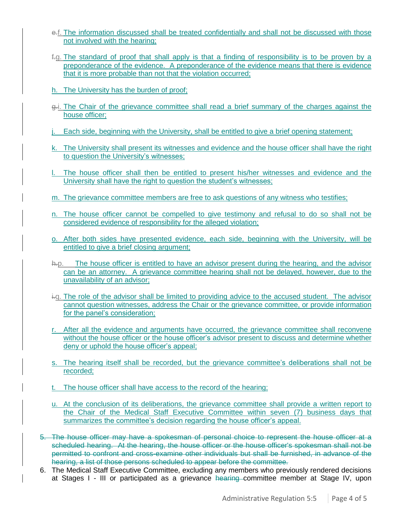- e.f. The information discussed shall be treated confidentially and shall not be discussed with those not involved with the hearing;
- f.g. The standard of proof that shall apply is that a finding of responsibility is to be proven by a preponderance of the evidence. A preponderance of the evidence means that there is evidence that it is more probable than not that the violation occurred;
- h. The University has the burden of proof;
- g.i. The Chair of the grievance committee shall read a brief summary of the charges against the house officer;
- j. Each side, beginning with the University, shall be entitled to give a brief opening statement;
- k. The University shall present its witnesses and evidence and the house officer shall have the right to question the University's witnesses;
- The house officer shall then be entitled to present his/her witnesses and evidence and the University shall have the right to question the student's witnesses;
- m. The grievance committee members are free to ask questions of any witness who testifies;
- n. The house officer cannot be compelled to give testimony and refusal to do so shall not be considered evidence of responsibility for the alleged violation;
- o. After both sides have presented evidence, each side, beginning with the University, will be entitled to give a brief closing argument;
- h.p. The house officer is entitled to have an advisor present during the hearing, and the advisor can be an attorney. A grievance committee hearing shall not be delayed, however, due to the unavailability of an advisor;
- i.q. The role of the advisor shall be limited to providing advice to the accused student. The advisor cannot question witnesses, address the Chair or the grievance committee, or provide information for the panel's consideration;
- r. After all the evidence and arguments have occurred, the grievance committee shall reconvene without the house officer or the house officer's advisor present to discuss and determine whether deny or uphold the house officer's appeal;
- s. The hearing itself shall be recorded, but the grievance committee's deliberations shall not be recorded;
- t. The house officer shall have access to the record of the hearing;
- u. At the conclusion of its deliberations, the grievance committee shall provide a written report to the Chair of the Medical Staff Executive Committee within seven (7) business days that summarizes the committee's decision regarding the house officer's appeal.
- 5. The house officer may have a spokesman of personal choice to represent the house officer at a scheduled hearing. At the hearing, the house officer or the house officer's spokesman shall not be permitted to confront and cross-examine other individuals but shall be furnished, in advance of the hearing, a list of those persons scheduled to appear before the committee.
- 6. The Medical Staff Executive Committee, excluding any members who previously rendered decisions at Stages I - III or participated as a grievance hearing committee member at Stage IV, upon